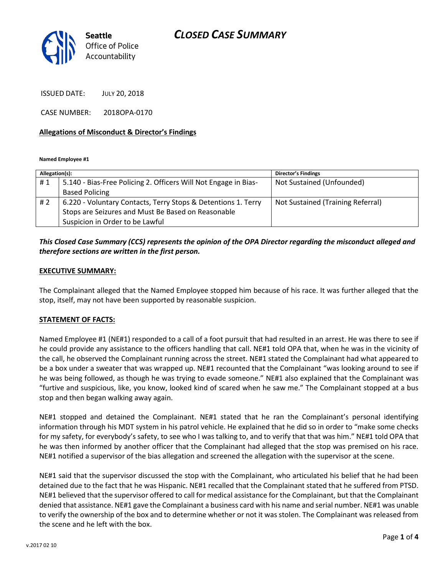# *CLOSED CASE SUMMARY*



ISSUED DATE: JULY 20, 2018

CASE NUMBER: 2018OPA-0170

#### **Allegations of Misconduct & Director's Findings**

**Named Employee #1**

| Allegation(s): |                                                                 | <b>Director's Findings</b>        |
|----------------|-----------------------------------------------------------------|-----------------------------------|
| #1             | 5.140 - Bias-Free Policing 2. Officers Will Not Engage in Bias- | Not Sustained (Unfounded)         |
|                | <b>Based Policing</b>                                           |                                   |
| #2             | 6.220 - Voluntary Contacts, Terry Stops & Detentions 1. Terry   | Not Sustained (Training Referral) |
|                | Stops are Seizures and Must Be Based on Reasonable              |                                   |
|                | Suspicion in Order to be Lawful                                 |                                   |

### *This Closed Case Summary (CCS) represents the opinion of the OPA Director regarding the misconduct alleged and therefore sections are written in the first person.*

#### **EXECUTIVE SUMMARY:**

The Complainant alleged that the Named Employee stopped him because of his race. It was further alleged that the stop, itself, may not have been supported by reasonable suspicion.

### **STATEMENT OF FACTS:**

Named Employee #1 (NE#1) responded to a call of a foot pursuit that had resulted in an arrest. He was there to see if he could provide any assistance to the officers handling that call. NE#1 told OPA that, when he was in the vicinity of the call, he observed the Complainant running across the street. NE#1 stated the Complainant had what appeared to be a box under a sweater that was wrapped up. NE#1 recounted that the Complainant "was looking around to see if he was being followed, as though he was trying to evade someone." NE#1 also explained that the Complainant was "furtive and suspicious, like, you know, looked kind of scared when he saw me." The Complainant stopped at a bus stop and then began walking away again.

NE#1 stopped and detained the Complainant. NE#1 stated that he ran the Complainant's personal identifying information through his MDT system in his patrol vehicle. He explained that he did so in order to "make some checks for my safety, for everybody's safety, to see who I was talking to, and to verify that that was him." NE#1 told OPA that he was then informed by another officer that the Complainant had alleged that the stop was premised on his race. NE#1 notified a supervisor of the bias allegation and screened the allegation with the supervisor at the scene.

NE#1 said that the supervisor discussed the stop with the Complainant, who articulated his belief that he had been detained due to the fact that he was Hispanic. NE#1 recalled that the Complainant stated that he suffered from PTSD. NE#1 believed that the supervisor offered to call for medical assistance for the Complainant, but that the Complainant denied that assistance. NE#1 gave the Complainant a business card with his name and serial number. NE#1 was unable to verify the ownership of the box and to determine whether or not it was stolen. The Complainant was released from the scene and he left with the box.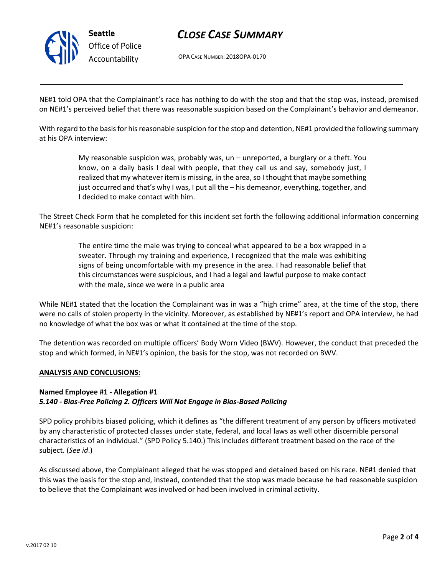

# *CLOSE CASE SUMMARY*

OPA CASE NUMBER: 2018OPA-0170

NE#1 told OPA that the Complainant's race has nothing to do with the stop and that the stop was, instead, premised on NE#1's perceived belief that there was reasonable suspicion based on the Complainant's behavior and demeanor.

With regard to the basis for his reasonable suspicion for the stop and detention, NE#1 provided the following summary at his OPA interview:

> My reasonable suspicion was, probably was, un – unreported, a burglary or a theft. You know, on a daily basis I deal with people, that they call us and say, somebody just, I realized that my whatever item is missing, in the area, so I thought that maybe something just occurred and that's why I was, I put all the – his demeanor, everything, together, and I decided to make contact with him.

The Street Check Form that he completed for this incident set forth the following additional information concerning NE#1's reasonable suspicion:

> The entire time the male was trying to conceal what appeared to be a box wrapped in a sweater. Through my training and experience, I recognized that the male was exhibiting signs of being uncomfortable with my presence in the area. I had reasonable belief that this circumstances were suspicious, and I had a legal and lawful purpose to make contact with the male, since we were in a public area

While NE#1 stated that the location the Complainant was in was a "high crime" area, at the time of the stop, there were no calls of stolen property in the vicinity. Moreover, as established by NE#1's report and OPA interview, he had no knowledge of what the box was or what it contained at the time of the stop.

The detention was recorded on multiple officers' Body Worn Video (BWV). However, the conduct that preceded the stop and which formed, in NE#1's opinion, the basis for the stop, was not recorded on BWV.

#### **ANALYSIS AND CONCLUSIONS:**

### **Named Employee #1 - Allegation #1** *5.140 - Bias-Free Policing 2. Officers Will Not Engage in Bias-Based Policing*

SPD policy prohibits biased policing, which it defines as "the different treatment of any person by officers motivated by any characteristic of protected classes under state, federal, and local laws as well other discernible personal characteristics of an individual." (SPD Policy 5.140.) This includes different treatment based on the race of the subject. (*See id*.)

As discussed above, the Complainant alleged that he was stopped and detained based on his race. NE#1 denied that this was the basis for the stop and, instead, contended that the stop was made because he had reasonable suspicion to believe that the Complainant was involved or had been involved in criminal activity.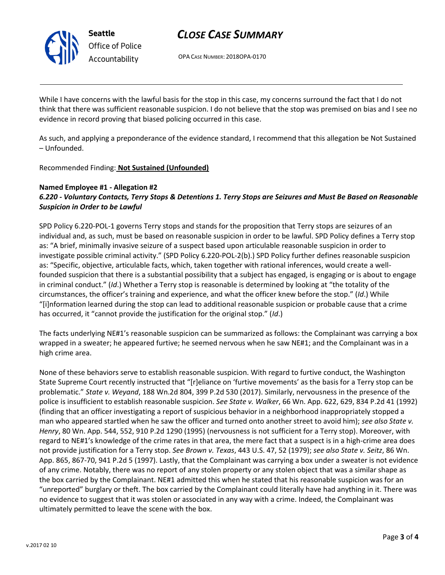

# *CLOSE CASE SUMMARY*

OPA CASE NUMBER: 2018OPA-0170

While I have concerns with the lawful basis for the stop in this case, my concerns surround the fact that I do not think that there was sufficient reasonable suspicion. I do not believe that the stop was premised on bias and I see no evidence in record proving that biased policing occurred in this case.

As such, and applying a preponderance of the evidence standard, I recommend that this allegation be Not Sustained – Unfounded.

Recommended Finding: **Not Sustained (Unfounded)**

### **Named Employee #1 - Allegation #2** *6.220 - Voluntary Contacts, Terry Stops & Detentions 1. Terry Stops are Seizures and Must Be Based on Reasonable Suspicion in Order to be Lawful*

SPD Policy 6.220-POL-1 governs Terry stops and stands for the proposition that Terry stops are seizures of an individual and, as such, must be based on reasonable suspicion in order to be lawful. SPD Policy defines a Terry stop as: "A brief, minimally invasive seizure of a suspect based upon articulable reasonable suspicion in order to investigate possible criminal activity." (SPD Policy 6.220-POL-2(b).) SPD Policy further defines reasonable suspicion as: "Specific, objective, articulable facts, which, taken together with rational inferences, would create a wellfounded suspicion that there is a substantial possibility that a subject has engaged, is engaging or is about to engage in criminal conduct." (*Id*.) Whether a Terry stop is reasonable is determined by looking at "the totality of the circumstances, the officer's training and experience, and what the officer knew before the stop." (*Id*.) While "[i]nformation learned during the stop can lead to additional reasonable suspicion or probable cause that a crime has occurred, it "cannot provide the justification for the original stop." (*Id*.)

The facts underlying NE#1's reasonable suspicion can be summarized as follows: the Complainant was carrying a box wrapped in a sweater; he appeared furtive; he seemed nervous when he saw NE#1; and the Complainant was in a high crime area.

None of these behaviors serve to establish reasonable suspicion. With regard to furtive conduct, the Washington State Supreme Court recently instructed that "[r]eliance on 'furtive movements' as the basis for a Terry stop can be problematic." *State v. Weyand*, 188 Wn.2d 804, 399 P.2d 530 (2017). Similarly, nervousness in the presence of the police is insufficient to establish reasonable suspicion. *See State v. Walker*, 66 Wn. App. 622, 629, 834 P.2d 41 (1992) (finding that an officer investigating a report of suspicious behavior in a neighborhood inappropriately stopped a man who appeared startled when he saw the officer and turned onto another street to avoid him); *see also State v. Henry*, 80 Wn. App. 544, 552, 910 P.2d 1290 (1995) (nervousness is not sufficient for a Terry stop). Moreover, with regard to NE#1's knowledge of the crime rates in that area, the mere fact that a suspect is in a high-crime area does not provide justification for a Terry stop. *See Brown v. Texas*, 443 U.S. 47, 52 (1979); *see also State v. Seitz*, 86 Wn. App. 865, 867-70, 941 P.2d 5 (1997). Lastly, that the Complainant was carrying a box under a sweater is not evidence of any crime. Notably, there was no report of any stolen property or any stolen object that was a similar shape as the box carried by the Complainant. NE#1 admitted this when he stated that his reasonable suspicion was for an "unreported" burglary or theft. The box carried by the Complainant could literally have had anything in it. There was no evidence to suggest that it was stolen or associated in any way with a crime. Indeed, the Complainant was ultimately permitted to leave the scene with the box.